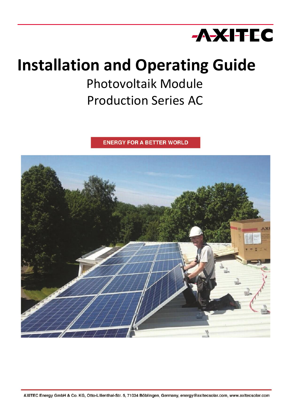

# **Installation and Operating Guide**

Photovoltaik Module Production Series AC

**ENERGY FOR A BETTER WORLD** 

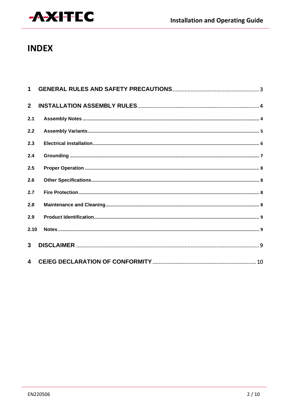

## **INDEX**

| 2 <sup>1</sup>          |  |
|-------------------------|--|
| 2.1                     |  |
| 2.2                     |  |
| 2.3                     |  |
| 2.4                     |  |
| 2.5                     |  |
| 2.6                     |  |
| 2.7                     |  |
| 2.8                     |  |
| 2.9                     |  |
| 2.10                    |  |
| 3 <sup>1</sup>          |  |
| $\overline{\mathbf{4}}$ |  |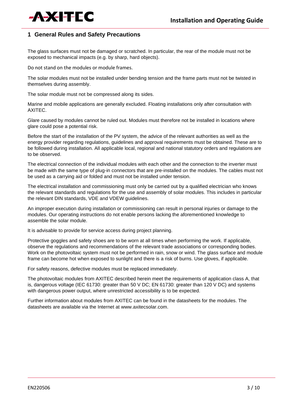

#### **1 General Rules and Safety Precautions**

The glass surfaces must not be damaged or scratched. In particular, the rear of the module must not be exposed to mechanical impacts (e.g. by sharp, hard objects).

Do not stand on the modules or module frames.

The solar modules must not be installed under bending tension and the frame parts must not be twisted in themselves during assembly.

The solar module must not be compressed along its sides.

Marine and mobile applications are generally excluded. Floating installations only after consultation with AXITEC.

Glare caused by modules cannot be ruled out. Modules must therefore not be installed in locations where glare could pose a potential risk.

Before the start of the installation of the PV system, the advice of the relevant authorities as well as the energy provider regarding regulations, guidelines and approval requirements must be obtained. These are to be followed during installation. All applicable local, regional and national statutory orders and regulations are to be observed.

The electrical connection of the individual modules with each other and the connection to the inverter must be made with the same type of plug-in connectors that are pre-installed on the modules. The cables must not be used as a carrying aid or folded and must not be installed under tension.

The electrical installation and commissioning must only be carried out by a qualified electrician who knows the relevant standards and regulations for the use and assembly of solar modules. This includes in particular the relevant DIN standards, VDE and VDEW guidelines.

An improper execution during installation or commissioning can result in personal injuries or damage to the modules. Our operating instructions do not enable persons lacking the aforementioned knowledge to assemble the solar module.

It is advisable to provide for service access during project planning.

Protective goggles and safety shoes are to be worn at all times when performing the work. If applicable, observe the regulations and recommendations of the relevant trade associations or corresponding bodies. Work on the photovoltaic system must not be performed in rain, snow or wind. The glass surface and module frame can become hot when exposed to sunlight and there is a risk of burns. Use gloves, if applicable.

For safety reasons, defective modules must be replaced immediately.

The photovoltaic modules from AXITEC described herein meet the requirements of application class A, that is, dangerous voltage (IEC 61730: greater than 50 V DC; EN 61730: greater than 120 V DC) and systems with dangerous power output, where unrestricted accessibility is to be expected.

Further information about modules from AXITEC can be found in the datasheets for the modules. The datasheets are available via the Internet at [www.axitecsolar.com.](http://www.axitecsolar.com/)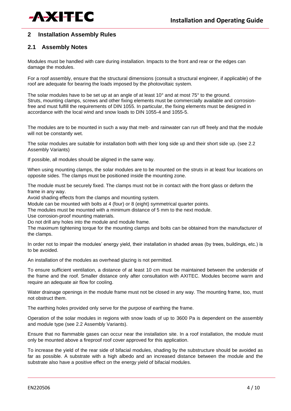

#### **2 Installation Assembly Rules**

#### **2.1 Assembly Notes**

Modules must be handled with care during installation. Impacts to the front and rear or the edges can damage the modules.

For a roof assembly, ensure that the structural dimensions (consult a structural engineer, if applicable) of the roof are adequate for bearing the loads imposed by the photovoltaic system.

The solar modules have to be set up at an angle of at least 10° and at most 75° to the ground. Struts, mounting clamps, screws and other fixing elements must be commercially available and corrosionfree and must fulfill the requirements of DIN 1055. In particular, the fixing elements must be designed in accordance with the local wind and snow loads to DIN 1055-4 and 1055-5.

The modules are to be mounted in such a way that melt- and rainwater can run off freely and that the module will not be constantly wet.

The solar modules are suitable for installation both with their long side up and their short side up. (see 2.2 Assembly Variants)

If possible, all modules should be aligned in the same way.

When using mounting clamps, the solar modules are to be mounted on the struts in at least four locations on opposite sides. The clamps must be positioned inside the mounting zone.

The module must be securely fixed. The clamps must not be in contact with the front glass or deform the frame in any way.

Avoid shading effects from the clamps and mounting system.

Module can be mounted with bolts at 4 (four) or 8 (eight) symmetrical quarter points.

The modules must be mounted with a minimum distance of 5 mm to the next module.

Use corrosion-proof mounting materials.

Do not drill any holes into the module and module frame.

The maximum tightening torque for the mounting clamps and bolts can be obtained from the manufacturer of the clamps.

In order not to impair the modules' energy yield, their installation in shaded areas (by trees, buildings, etc.) is to be avoided.

An installation of the modules as overhead glazing is not permitted.

To ensure sufficient ventilation, a distance of at least 10 cm must be maintained between the underside of the frame and the roof. Smaller distance only after consultation with AXITEC. Modules become warm and require an adequate air flow for cooling.

Water drainage openings in the module frame must not be closed in any way. The mounting frame, too, must not obstruct them.

The earthing holes provided only serve for the purpose of earthing the frame.

Operation of the solar modules in regions with snow loads of up to 3600 Pa is dependent on the assembly and module type (see 2.2 Assembly Variants).

Ensure that no flammable gases can occur near the installation site. In a roof installation, the module must only be mounted above a fireproof roof cover approved for this application.

To increase the yield of the rear side of bifacial modules, shading by the substructure should be avoided as far as possible. A substrate with a high albedo and an increased distance between the module and the substrate also have a positive effect on the energy yield of bifacial modules.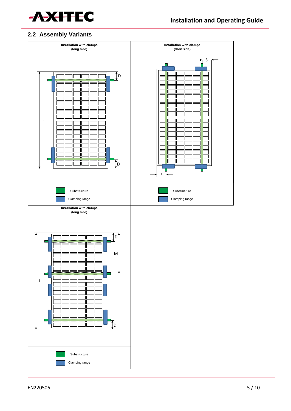

#### **2.2 Assembly Variants**

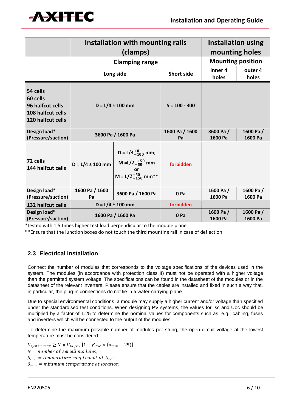

|                                                                                    | Installation with mounting rails<br>(clamps) |                                                                                              |                      | <b>Installation using</b><br>mounting holes |                     |
|------------------------------------------------------------------------------------|----------------------------------------------|----------------------------------------------------------------------------------------------|----------------------|---------------------------------------------|---------------------|
|                                                                                    | <b>Clamping range</b>                        |                                                                                              |                      | <b>Mounting position</b>                    |                     |
|                                                                                    |                                              | Long side                                                                                    | <b>Short side</b>    | inner 4<br>holes                            | outer 4<br>holes    |
| 54 cells<br>60 cells<br>96 halfcut cells<br>108 halfcut cells<br>120 halfcut cells | $D = L/4 \pm 100$ mm                         |                                                                                              | $S = 100 - 300$      |                                             |                     |
| Design load*<br>(Pressure/suction)                                                 | 3600 Pa / 1600 Pa                            |                                                                                              | 1600 Pa / 1600<br>Pa | 3600 Pa/<br>1600 Pa                         | 1600 Pa/<br>1600 Pa |
| 72 cells<br>144 halfcut cells                                                      | $D = L/4 \pm 100$ mm                         | D = $L/4^{+0}_{-100}$ mm;<br>M = L/2 $^{+150}_{+50}$ mm<br>or<br>M = $L/2_{-150}^{-50}$ mm** | forbidden            |                                             |                     |
| Design load*<br>(Pressure/suction)                                                 | 1600 Pa / 1600<br>Pa                         | 3600 Pa / 1600 Pa                                                                            | 0 Pa                 | 1600 Pa/<br>1600 Pa                         | 1600 Pa/<br>1600 Pa |
| 132 halfcut cells                                                                  | $D = L/4 \pm 100$ mm                         |                                                                                              | forbidden            |                                             |                     |
| Design load*<br>(Pressure/suction)                                                 | 1600 Pa / 1600 Pa                            |                                                                                              | 0 Pa                 | 1600 Pa/<br>1600 Pa                         | 1600 Pa/<br>1600 Pa |

\*tested with 1.5 times higher test load perpendicular to the module plane

\*\*Ensure that the junction boxes do not touch the third mounting rail in case of deflection

### **2.3 Electrical installation**

Connect the number of modules that corresponds to the voltage specifications of the devices used in the system. The modules (in accordance with protection class II) must not be operated with a higher voltage than the permitted system voltage. The specifications can be found in the datasheet of the modules or in the datasheet of the relevant inverters. Please ensure that the cables are installed and fixed in such a way that, in particular, the plug-in connections do not lie in a water-carrying plane.

Due to special environmental conditions, a module may supply a higher current and/or voltage than specified under the standardised test conditions. When designing PV systems, the values for Isc and Uoc should be multiplied by a factor of 1.25 to determine the nominal values for components such as, e.g., cabling, fuses and inverters which will be connected to the output of the modules.

To determine the maximum possible number of modules per string, the open-circuit voltage at the lowest temperature must be considered:

 $U_{system,max} \geq N \times U_{OC,STC} [1 + \beta_{Uoc} \times (\vartheta_{min} - 25)]$  $N =$  number of seriell modules;  $\beta_{Uoc}$  = temperature coefficient of  $U_{oc}$ ;  $\vartheta_{min}$  = minimum temperature at location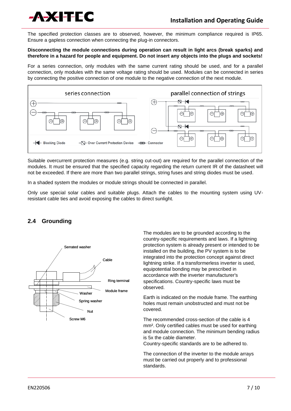

The specified protection classes are to observed, however, the minimum compliance required is IP65. Ensure a gapless connection when connecting the plug-in connectors.

#### **Disconnecting the module connections during operation can result in light arcs (break sparks) and therefore in a hazard for people and equipment. Do not insert any objects into the plugs and sockets!**

For a series connection, only modules with the same current rating should be used, and for a parallel connection, only modules with the same voltage rating should be used. Modules can be connected in series by connecting the positive connection of one module to the negative connection of the next module.



Suitable overcurrent protection measures (e.g. string cut-out) are required for the parallel connection of the modules. It must be ensured that the specified capacity regarding the return current IR of the datasheet will not be exceeded. If there are more than two parallel strings, string fuses and string diodes must be used.

In a shaded system the modules or module strings should be connected in parallel.

Only use special solar cables and suitable plugs. Attach the cables to the mounting system using UVresistant cable ties and avoid exposing the cables to direct sunlight.

#### **2.4 Grounding**



The modules are to be grounded according to the country-specific requirements and laws. If a lightning protection system is already present or intended to be installed on the building, the PV system is to be integrated into the protection concept against direct lightning strike. If a transformerless inverter is used, equipotential bonding may be prescribed in accordance with the inverter manufacturer's specifications. Country-specific laws must be observed.

Earth is indicated on the module frame. The earthing holes must remain unobstructed and must not be covered.

The recommended cross-section of the cable is 4 mm². Only certified cables must be used for earthing and module connection. The minimum bending radius is 5x the cable diameter.

Country-specific standards are to be adhered to.

The connection of the inverter to the module arrays must be carried out properly and to professional standards.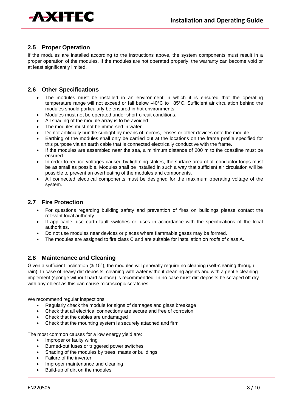

#### **2.5 Proper Operation**

If the modules are installed according to the instructions above, the system components must result in a proper operation of the modules. If the modules are not operated properly, the warranty can become void or at least significantly limited.

#### **2.6 Other Specifications**

- The modules must be installed in an environment in which it is ensured that the operating temperature range will not exceed or fall below -40°C to +85°C. Sufficient air circulation behind the modules should particularly be ensured in hot environments.
- Modules must not be operated under short-circuit conditions.
- All shading of the module array is to be avoided.
- The modules must not be immersed in water.
- Do not artificially bundle sunlight by means of mirrors, lenses or other devices onto the module.
- Earthing of the modules shall only be carried out at the locations on the frame profile specified for this purpose via an earth cable that is connected electrically conductive with the frame.
- If the modules are assembled near the sea, a minimum distance of 200 m to the coastline must be ensured.
- In order to reduce voltages caused by lightning strikes, the surface area of all conductor loops must be as small as possible. Modules shall be installed in such a way that sufficient air circulation will be possible to prevent an overheating of the modules and components.
- All connected electrical components must be designed for the maximum operating voltage of the system.

#### **2.7 Fire Protection**

- For questions regarding building safety and prevention of fires on buildings please contact the relevant local authority.
- If applicable, use earth fault switches or fuses in accordance with the specifications of the local authorities.
- Do not use modules near devices or places where flammable gases may be formed.
- The modules are assigned to fire class C and are suitable for installation on roofs of class A.

#### **2.8 Maintenance and Cleaning**

Given a sufficient inclination ( $\geq 15^{\circ}$ ), the modules will generally require no cleaning (self-cleaning through rain). In case of heavy dirt deposits, cleaning with water without cleaning agents and with a gentle cleaning implement (sponge without hard surface) is recommended. In no case must dirt deposits be scraped off dry with any object as this can cause microscopic scratches.

We recommend regular inspections:

- Regularly check the module for signs of damages and glass breakage
- Check that all electrical connections are secure and free of corrosion
- Check that the cables are undamaged
- Check that the mounting system is securely attached and firm

The most common causes for a low energy yield are:

- Improper or faulty wiring
- Burned-out fuses or triggered power switches
- Shading of the modules by trees, masts or buildings
- Failure of the inverter
- Improper maintenance and cleaning
- Build-up of dirt on the modules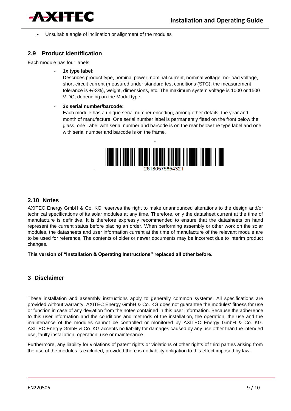

Unsuitable angle of inclination or alignment of the modules

#### **2.9 Product Identification**

Each module has four labels

- **1x type label:**

Describes product type, nominal power, nominal current, nominal voltage, no-load voltage, short-circuit current (measured under standard test conditions (STC), the measurement tolerance is +/-3%), weight, dimensions, etc. The maximum system voltage is 1000 or 1500 V DC, depending on the Modul type.

- **3x serial number/barcode:**

-

Each module has a unique serial number encoding, among other details, the year and month of manufacture. One serial number label is permanently fitted on the front below the glass, one Label with serial number and barcode is on the rear below the type label and one with serial number and barcode is on the frame.



#### **2.10 Notes**

AXITEC Energy GmbH & Co. KG reserves the right to make unannounced alterations to the design and/or technical specifications of its solar modules at any time. Therefore, only the datasheet current at the time of manufacture is definitive. It is therefore expressly recommended to ensure that the datasheets on hand represent the current status before placing an order. When performing assembly or other work on the solar modules, the datasheets and user information current at the time of manufacture of the relevant module are to be used for reference. The contents of older or newer documents may be incorrect due to interim product changes.

**This version of "Installation & Operating Instructions" replaced all other before.**

#### **3 Disclaimer**

These installation and assembly instructions apply to generally common systems. All specifications are provided without warranty. AXITEC Energy GmbH & Co. KG does not guarantee the modules' fitness for use or function in case of any deviation from the notes contained in this user information. Because the adherence to this user information and the conditions and methods of the installation, the operation, the use and the maintenance of the modules cannot be controlled or monitored by AXITEC Energy GmbH & Co. KG. AXITEC Energy GmbH & Co. KG accepts no liability for damages caused by any use other than the intended use, faulty installation, operation, use or maintenance.

Furthermore, any liability for violations of patent rights or violations of other rights of third parties arising from the use of the modules is excluded, provided there is no liability obligation to this effect imposed by law.